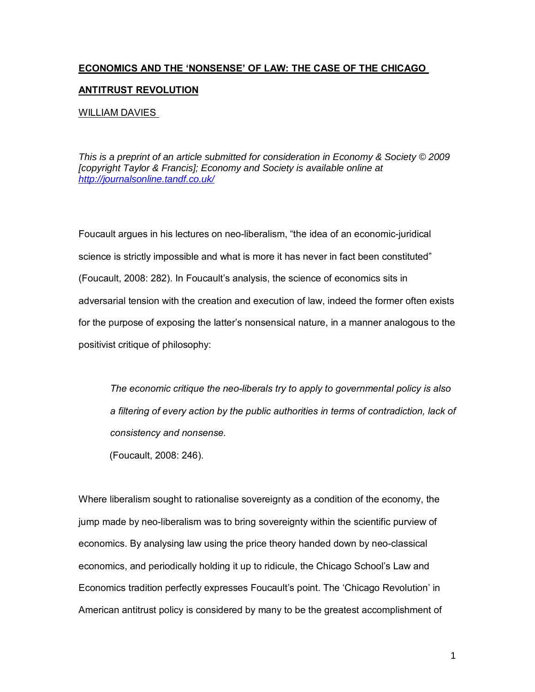# **ECONOMICS AND THE ëNONSENSEí OF LAW: THE CASE OF THE CHICAGO**

# **ANTITRUST REVOLUTION**

### WILLIAM DAVIES

This is a preprint of an article submitted for consideration in Economy & Society © 2009 [copyright Taylor & Francis]; Economy and Society is available online at http://journalsonline.tandf.co.uk/

Foucault argues in his lectures on neo-liberalism, "the idea of an economic-juridical science is strictly impossible and what is more it has never in fact been constituted" (Foucault, 2008: 282). In Foucaultís analysis, the science of economics sits in adversarial tension with the creation and execution of law, indeed the former often exists for the purpose of exposing the latterís nonsensical nature, in a manner analogous to the positivist critique of philosophy:

*The economic critique the neo-liberals try to apply to governmental policy is also a filtering of every action by the public authorities in terms of contradiction, lack of consistency and nonsense.* 

(Foucault, 2008: 246).

Where liberalism sought to rationalise sovereignty as a condition of the economy, the jump made by neo-liberalism was to bring sovereignty within the scientific purview of economics. By analysing law using the price theory handed down by neo-classical economics, and periodically holding it up to ridicule, the Chicago School's Law and Economics tradition perfectly expresses Foucault's point. The 'Chicago Revolution' in American antitrust policy is considered by many to be the greatest accomplishment of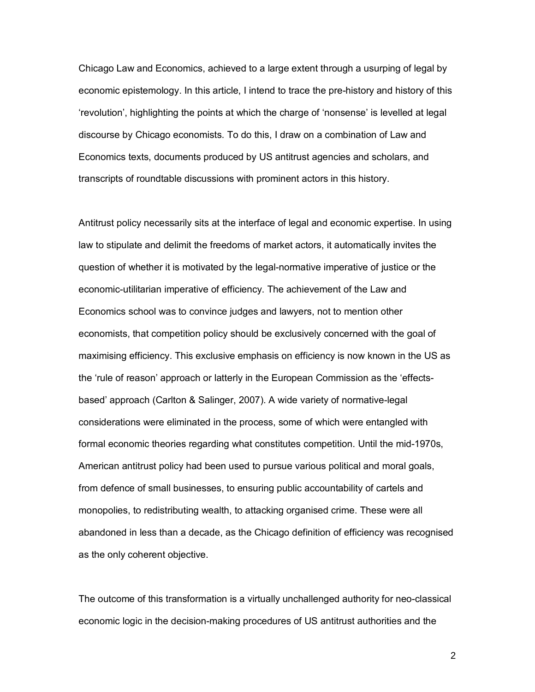Chicago Law and Economics, achieved to a large extent through a usurping of legal by economic epistemology. In this article, I intend to trace the pre-history and history of this frevolution', highlighting the points at which the charge of 'nonsense' is levelled at legal discourse by Chicago economists. To do this, I draw on a combination of Law and Economics texts, documents produced by US antitrust agencies and scholars, and transcripts of roundtable discussions with prominent actors in this history.

Antitrust policy necessarily sits at the interface of legal and economic expertise. In using law to stipulate and delimit the freedoms of market actors, it automatically invites the question of whether it is motivated by the legal-normative imperative of justice or the economic-utilitarian imperative of efficiency. The achievement of the Law and Economics school was to convince judges and lawyers, not to mention other economists, that competition policy should be exclusively concerned with the goal of maximising efficiency. This exclusive emphasis on efficiency is now known in the US as the 'rule of reason' approach or latterly in the European Commission as the 'effectsbased' approach (Carlton & Salinger, 2007). A wide variety of normative-legal considerations were eliminated in the process, some of which were entangled with formal economic theories regarding what constitutes competition. Until the mid-1970s, American antitrust policy had been used to pursue various political and moral goals, from defence of small businesses, to ensuring public accountability of cartels and monopolies, to redistributing wealth, to attacking organised crime. These were all abandoned in less than a decade, as the Chicago definition of efficiency was recognised as the only coherent objective.

The outcome of this transformation is a virtually unchallenged authority for neo-classical economic logic in the decision-making procedures of US antitrust authorities and the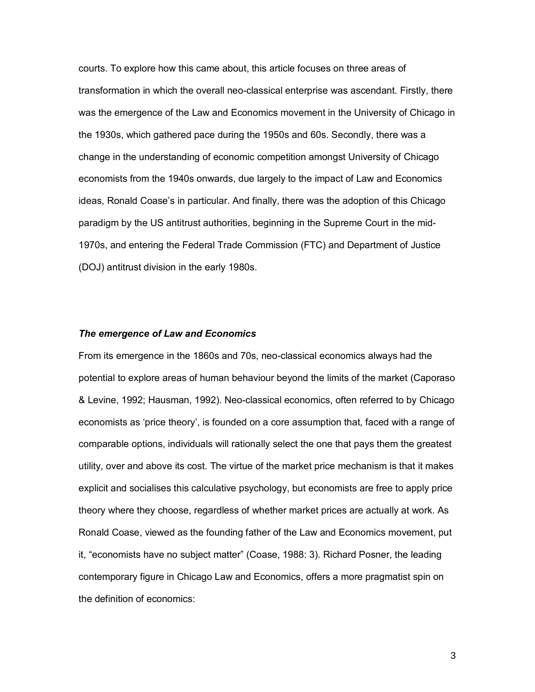courts. To explore how this came about, this article focuses on three areas of transformation in which the overall neo-classical enterprise was ascendant. Firstly, there was the emergence of the Law and Economics movement in the University of Chicago in the 1930s, which gathered pace during the 1950s and 60s. Secondly, there was a change in the understanding of economic competition amongst University of Chicago economists from the 1940s onwards, due largely to the impact of Law and Economics ideas, Ronald Coase's in particular. And finally, there was the adoption of this Chicago paradigm by the US antitrust authorities, beginning in the Supreme Court in the mid-1970s, and entering the Federal Trade Commission (FTC) and Department of Justice (DOJ) antitrust division in the early 1980s.

#### *The emergence of Law and Economics*

From its emergence in the 1860s and 70s, neo-classical economics always had the potential to explore areas of human behaviour beyond the limits of the market (Caporaso & Levine, 1992; Hausman, 1992). Neo-classical economics, often referred to by Chicago economists as 'price theory', is founded on a core assumption that, faced with a range of comparable options, individuals will rationally select the one that pays them the greatest utility, over and above its cost. The virtue of the market price mechanism is that it makes explicit and socialises this calculative psychology, but economists are free to apply price theory where they choose, regardless of whether market prices are actually at work. As Ronald Coase, viewed as the founding father of the Law and Economics movement, put it, "economists have no subject matter" (Coase, 1988: 3). Richard Posner, the leading contemporary figure in Chicago Law and Economics, offers a more pragmatist spin on the definition of economics: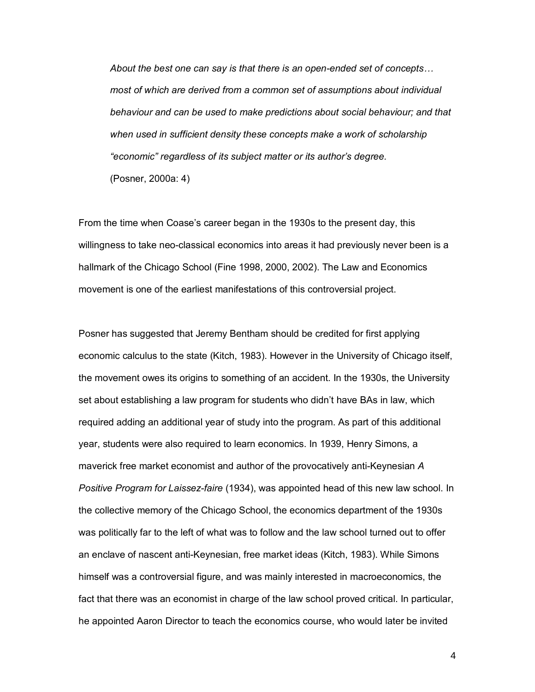*About the best one can say is that there is an open-ended set of concepts... most of which are derived from a common set of assumptions about individual behaviour and can be used to make predictions about social behaviour; and that when used in sufficient density these concepts make a work of scholarship ìeconomicî regardless of its subject matter or its authorís degree.*  (Posner, 2000a: 4)

From the time when Coaseís career began in the 1930s to the present day, this willingness to take neo-classical economics into areas it had previously never been is a hallmark of the Chicago School (Fine 1998, 2000, 2002). The Law and Economics movement is one of the earliest manifestations of this controversial project.

Posner has suggested that Jeremy Bentham should be credited for first applying economic calculus to the state (Kitch, 1983). However in the University of Chicago itself, the movement owes its origins to something of an accident. In the 1930s, the University set about establishing a law program for students who didn't have BAs in law, which required adding an additional year of study into the program. As part of this additional year, students were also required to learn economics. In 1939, Henry Simons, a maverick free market economist and author of the provocatively anti-Keynesian *A Positive Program for Laissez-faire* (1934), was appointed head of this new law school. In the collective memory of the Chicago School, the economics department of the 1930s was politically far to the left of what was to follow and the law school turned out to offer an enclave of nascent anti-Keynesian, free market ideas (Kitch, 1983). While Simons himself was a controversial figure, and was mainly interested in macroeconomics, the fact that there was an economist in charge of the law school proved critical. In particular, he appointed Aaron Director to teach the economics course, who would later be invited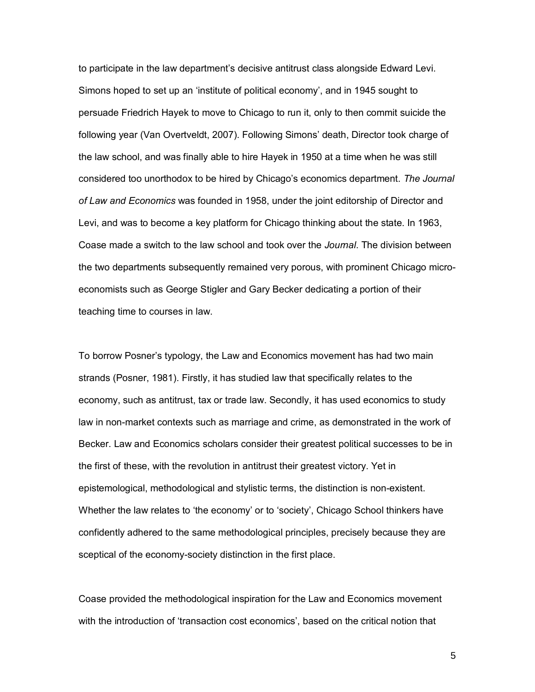to participate in the law department's decisive antitrust class alongside Edward Levi. Simons hoped to set up an 'institute of political economy', and in 1945 sought to persuade Friedrich Hayek to move to Chicago to run it, only to then commit suicide the following year (Van Overtveldt, 2007). Following Simons' death, Director took charge of the law school, and was finally able to hire Hayek in 1950 at a time when he was still considered too unorthodox to be hired by Chicagoís economics department. *The Journal of Law and Economics* was founded in 1958, under the joint editorship of Director and Levi, and was to become a key platform for Chicago thinking about the state. In 1963, Coase made a switch to the law school and took over the *Journal*. The division between the two departments subsequently remained very porous, with prominent Chicago microeconomists such as George Stigler and Gary Becker dedicating a portion of their teaching time to courses in law.

To borrow Posnerís typology, the Law and Economics movement has had two main strands (Posner, 1981). Firstly, it has studied law that specifically relates to the economy, such as antitrust, tax or trade law. Secondly, it has used economics to study law in non-market contexts such as marriage and crime, as demonstrated in the work of Becker. Law and Economics scholars consider their greatest political successes to be in the first of these, with the revolution in antitrust their greatest victory. Yet in epistemological, methodological and stylistic terms, the distinction is non-existent. Whether the law relates to 'the economy' or to 'society', Chicago School thinkers have confidently adhered to the same methodological principles, precisely because they are sceptical of the economy-society distinction in the first place.

Coase provided the methodological inspiration for the Law and Economics movement with the introduction of 'transaction cost economics', based on the critical notion that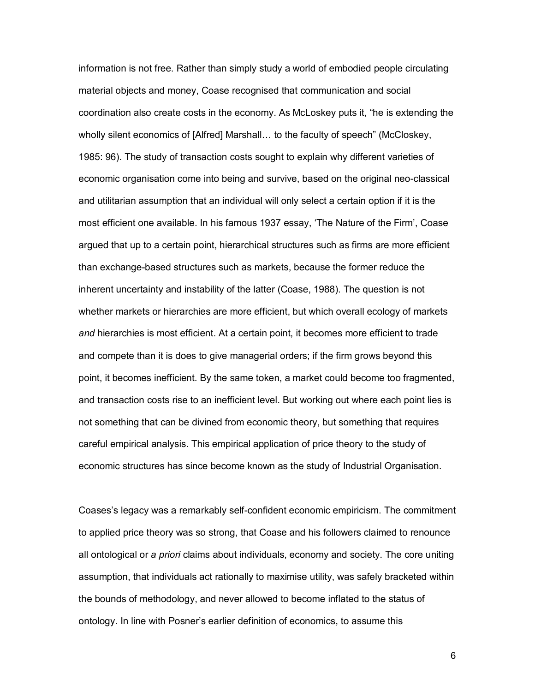information is not free. Rather than simply study a world of embodied people circulating material objects and money, Coase recognised that communication and social coordination also create costs in the economy. As McLoskey puts it, "he is extending the wholly silent economics of [Alfred] Marshall... to the faculty of speech" (McCloskey, 1985: 96). The study of transaction costs sought to explain why different varieties of economic organisation come into being and survive, based on the original neo-classical and utilitarian assumption that an individual will only select a certain option if it is the most efficient one available. In his famous 1937 essay, 'The Nature of the Firm', Coase argued that up to a certain point, hierarchical structures such as firms are more efficient than exchange-based structures such as markets, because the former reduce the inherent uncertainty and instability of the latter (Coase, 1988). The question is not whether markets or hierarchies are more efficient, but which overall ecology of markets *and* hierarchies is most efficient. At a certain point, it becomes more efficient to trade and compete than it is does to give managerial orders; if the firm grows beyond this point, it becomes inefficient. By the same token, a market could become too fragmented, and transaction costs rise to an inefficient level. But working out where each point lies is not something that can be divined from economic theory, but something that requires careful empirical analysis. This empirical application of price theory to the study of economic structures has since become known as the study of Industrial Organisation.

Coasesís legacy was a remarkably self-confident economic empiricism. The commitment to applied price theory was so strong, that Coase and his followers claimed to renounce all ontological or *a priori* claims about individuals, economy and society. The core uniting assumption, that individuals act rationally to maximise utility, was safely bracketed within the bounds of methodology, and never allowed to become inflated to the status of ontology. In line with Posner's earlier definition of economics, to assume this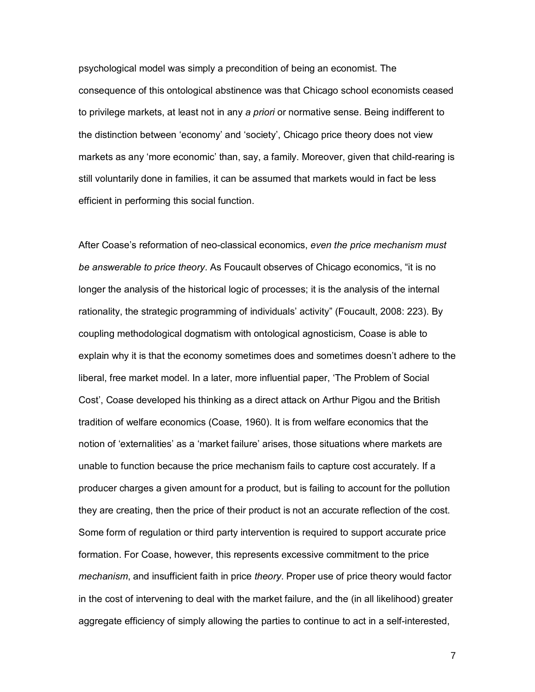psychological model was simply a precondition of being an economist. The consequence of this ontological abstinence was that Chicago school economists ceased to privilege markets, at least not in any *a priori* or normative sense. Being indifferent to the distinction between 'economy' and 'society', Chicago price theory does not view markets as any 'more economic' than, say, a family. Moreover, given that child-rearing is still voluntarily done in families, it can be assumed that markets would in fact be less efficient in performing this social function.

After Coase's reformation of neo-classical economics, even the price mechanism must *be answerable to price theory*. As Foucault observes of Chicago economics, "it is no longer the analysis of the historical logic of processes; it is the analysis of the internal rationality, the strategic programming of individuals' activity" (Foucault, 2008: 223). By coupling methodological dogmatism with ontological agnosticism, Coase is able to explain why it is that the economy sometimes does and sometimes doesn't adhere to the liberal, free market model. In a later, more influential paper, 'The Problem of Social Cost', Coase developed his thinking as a direct attack on Arthur Pigou and the British tradition of welfare economics (Coase, 1960). It is from welfare economics that the notion of 'externalities' as a 'market failure' arises, those situations where markets are unable to function because the price mechanism fails to capture cost accurately. If a producer charges a given amount for a product, but is failing to account for the pollution they are creating, then the price of their product is not an accurate reflection of the cost. Some form of regulation or third party intervention is required to support accurate price formation. For Coase, however, this represents excessive commitment to the price *mechanism*, and insufficient faith in price *theory*. Proper use of price theory would factor in the cost of intervening to deal with the market failure, and the (in all likelihood) greater aggregate efficiency of simply allowing the parties to continue to act in a self-interested,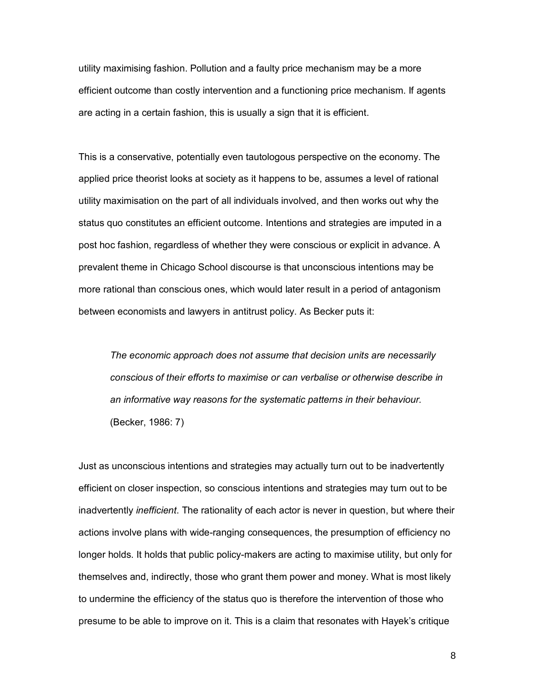utility maximising fashion. Pollution and a faulty price mechanism may be a more efficient outcome than costly intervention and a functioning price mechanism. If agents are acting in a certain fashion, this is usually a sign that it is efficient.

This is a conservative, potentially even tautologous perspective on the economy. The applied price theorist looks at society as it happens to be, assumes a level of rational utility maximisation on the part of all individuals involved, and then works out why the status quo constitutes an efficient outcome. Intentions and strategies are imputed in a post hoc fashion, regardless of whether they were conscious or explicit in advance. A prevalent theme in Chicago School discourse is that unconscious intentions may be more rational than conscious ones, which would later result in a period of antagonism between economists and lawyers in antitrust policy. As Becker puts it:

*The economic approach does not assume that decision units are necessarily conscious of their efforts to maximise or can verbalise or otherwise describe in an informative way reasons for the systematic patterns in their behaviour.*  (Becker, 1986: 7)

Just as unconscious intentions and strategies may actually turn out to be inadvertently efficient on closer inspection, so conscious intentions and strategies may turn out to be inadvertently *inefficient*. The rationality of each actor is never in question, but where their actions involve plans with wide-ranging consequences, the presumption of efficiency no longer holds. It holds that public policy-makers are acting to maximise utility, but only for themselves and, indirectly, those who grant them power and money. What is most likely to undermine the efficiency of the status quo is therefore the intervention of those who presume to be able to improve on it. This is a claim that resonates with Hayekís critique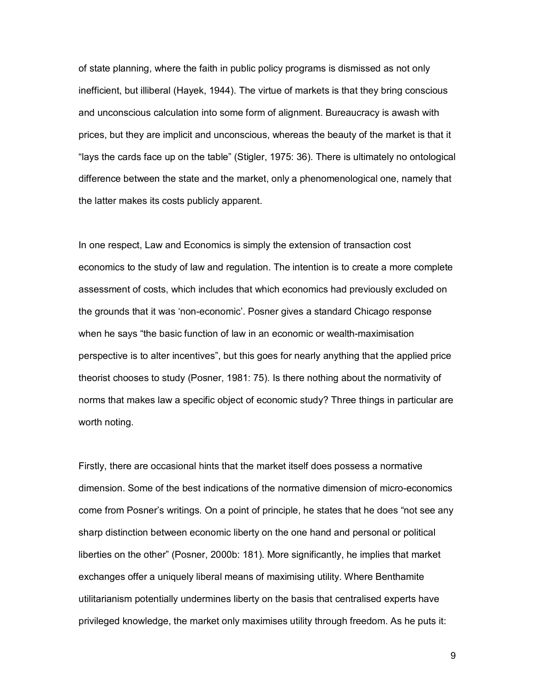of state planning, where the faith in public policy programs is dismissed as not only inefficient, but illiberal (Hayek, 1944). The virtue of markets is that they bring conscious and unconscious calculation into some form of alignment. Bureaucracy is awash with prices, but they are implicit and unconscious, whereas the beauty of the market is that it "lays the cards face up on the table" (Stigler, 1975: 36). There is ultimately no ontological difference between the state and the market, only a phenomenological one, namely that the latter makes its costs publicly apparent.

In one respect, Law and Economics is simply the extension of transaction cost economics to the study of law and regulation. The intention is to create a more complete assessment of costs, which includes that which economics had previously excluded on the grounds that it was 'non-economic'. Posner gives a standard Chicago response when he says "the basic function of law in an economic or wealth-maximisation perspective is to alter incentives", but this goes for nearly anything that the applied price theorist chooses to study (Posner, 1981: 75). Is there nothing about the normativity of norms that makes law a specific object of economic study? Three things in particular are worth noting.

Firstly, there are occasional hints that the market itself does possess a normative dimension. Some of the best indications of the normative dimension of micro-economics come from Posner's writings. On a point of principle, he states that he does "not see any sharp distinction between economic liberty on the one hand and personal or political liberties on the otherî (Posner, 2000b: 181). More significantly, he implies that market exchanges offer a uniquely liberal means of maximising utility. Where Benthamite utilitarianism potentially undermines liberty on the basis that centralised experts have privileged knowledge, the market only maximises utility through freedom. As he puts it: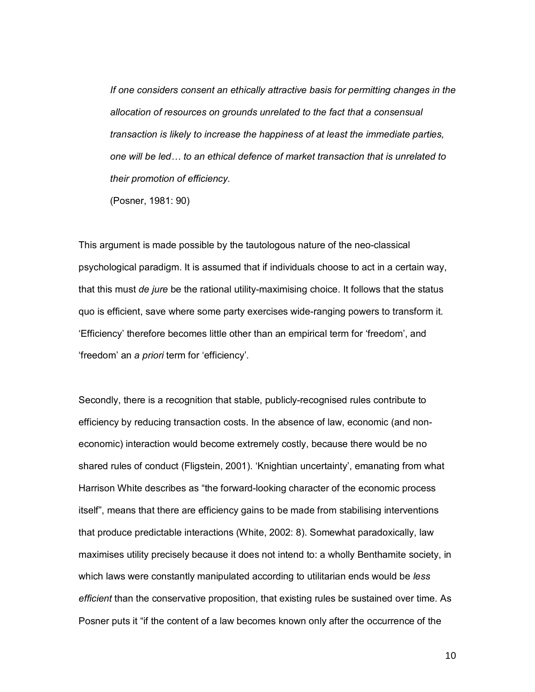*If one considers consent an ethically attractive basis for permitting changes in the allocation of resources on grounds unrelated to the fact that a consensual transaction is likely to increase the happiness of at least the immediate parties, one will be ledÖ to an ethical defence of market transaction that is unrelated to their promotion of efficiency.* 

(Posner, 1981: 90)

This argument is made possible by the tautologous nature of the neo-classical psychological paradigm. It is assumed that if individuals choose to act in a certain way, that this must *de jure* be the rational utility-maximising choice. It follows that the status quo is efficient, save where some party exercises wide-ranging powers to transform it. ëEfficiencyí therefore becomes little other than an empirical term for ëfreedomí, and freedom' an a *priori* term for 'efficiency'.

Secondly, there is a recognition that stable, publicly-recognised rules contribute to efficiency by reducing transaction costs. In the absence of law, economic (and noneconomic) interaction would become extremely costly, because there would be no shared rules of conduct (Fligstein, 2001). 'Knightian uncertainty', emanating from what Harrison White describes as "the forward-looking character of the economic process itselfî, means that there are efficiency gains to be made from stabilising interventions that produce predictable interactions (White, 2002: 8). Somewhat paradoxically, law maximises utility precisely because it does not intend to: a wholly Benthamite society, in which laws were constantly manipulated according to utilitarian ends would be *less efficient* than the conservative proposition, that existing rules be sustained over time. As Posner puts it "if the content of a law becomes known only after the occurrence of the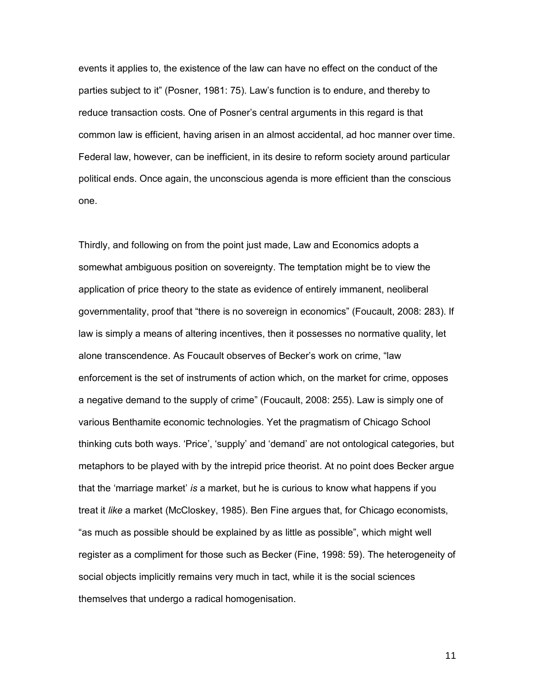events it applies to, the existence of the law can have no effect on the conduct of the parties subject to it" (Posner, 1981: 75). Law's function is to endure, and thereby to reduce transaction costs. One of Posner's central arguments in this regard is that common law is efficient, having arisen in an almost accidental, ad hoc manner over time. Federal law, however, can be inefficient, in its desire to reform society around particular political ends. Once again, the unconscious agenda is more efficient than the conscious one.

Thirdly, and following on from the point just made, Law and Economics adopts a somewhat ambiguous position on sovereignty. The temptation might be to view the application of price theory to the state as evidence of entirely immanent, neoliberal governmentality, proof that "there is no sovereign in economics" (Foucault, 2008: 283). If law is simply a means of altering incentives, then it possesses no normative quality, let alone transcendence. As Foucault observes of Becker's work on crime, "law enforcement is the set of instruments of action which, on the market for crime, opposes a negative demand to the supply of crime" (Foucault, 2008: 255). Law is simply one of various Benthamite economic technologies. Yet the pragmatism of Chicago School thinking cuts both ways. 'Price', 'supply' and 'demand' are not ontological categories, but metaphors to be played with by the intrepid price theorist. At no point does Becker argue that the 'marriage market' *is* a market, but he is curious to know what happens if you treat it *like* a market (McCloskey, 1985). Ben Fine argues that, for Chicago economists, "as much as possible should be explained by as little as possible", which might well register as a compliment for those such as Becker (Fine, 1998: 59). The heterogeneity of social objects implicitly remains very much in tact, while it is the social sciences themselves that undergo a radical homogenisation.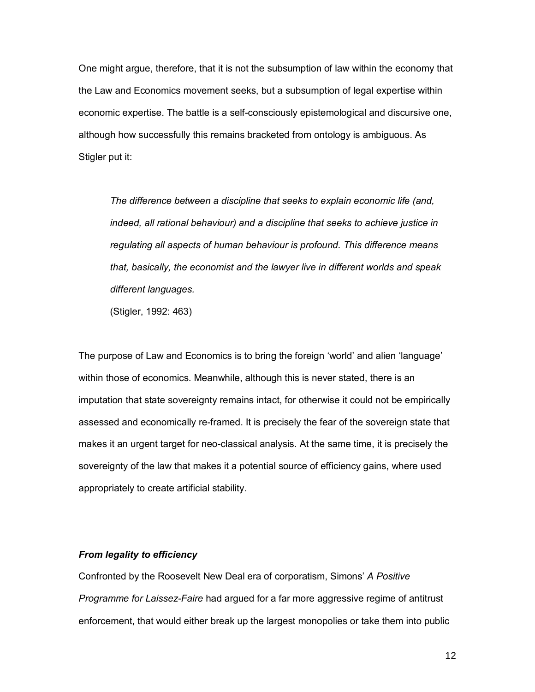One might argue, therefore, that it is not the subsumption of law within the economy that the Law and Economics movement seeks, but a subsumption of legal expertise within economic expertise. The battle is a self-consciously epistemological and discursive one, although how successfully this remains bracketed from ontology is ambiguous. As Stigler put it:

*The difference between a discipline that seeks to explain economic life (and, indeed, all rational behaviour) and a discipline that seeks to achieve justice in regulating all aspects of human behaviour is profound. This difference means that, basically, the economist and the lawyer live in different worlds and speak different languages.* 

(Stigler, 1992: 463)

The purpose of Law and Economics is to bring the foreign 'world' and alien 'language' within those of economics. Meanwhile, although this is never stated, there is an imputation that state sovereignty remains intact, for otherwise it could not be empirically assessed and economically re-framed. It is precisely the fear of the sovereign state that makes it an urgent target for neo-classical analysis. At the same time, it is precisely the sovereignty of the law that makes it a potential source of efficiency gains, where used appropriately to create artificial stability.

#### *From legality to efficiency*

Confronted by the Roosevelt New Deal era of corporatism, Simonsí *A Positive Programme for Laissez-Faire* had argued for a far more aggressive regime of antitrust enforcement, that would either break up the largest monopolies or take them into public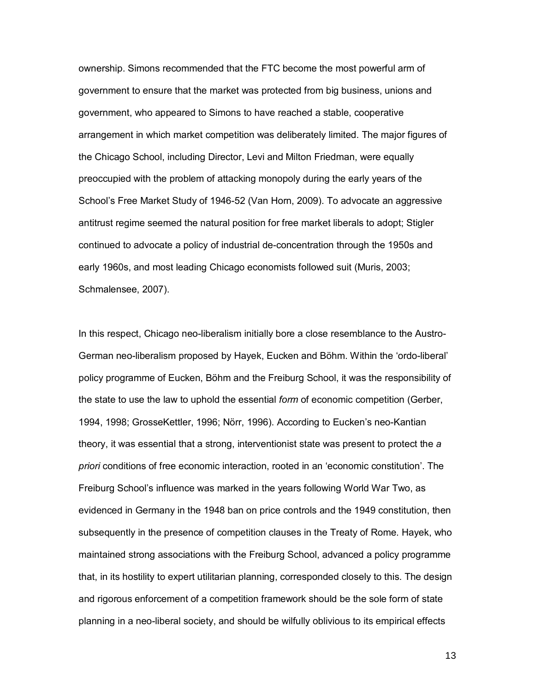ownership. Simons recommended that the FTC become the most powerful arm of government to ensure that the market was protected from big business, unions and government, who appeared to Simons to have reached a stable, cooperative arrangement in which market competition was deliberately limited. The major figures of the Chicago School, including Director, Levi and Milton Friedman, were equally preoccupied with the problem of attacking monopoly during the early years of the School's Free Market Study of 1946-52 (Van Horn, 2009). To advocate an aggressive antitrust regime seemed the natural position for free market liberals to adopt; Stigler continued to advocate a policy of industrial de-concentration through the 1950s and early 1960s, and most leading Chicago economists followed suit (Muris, 2003; Schmalensee, 2007).

In this respect, Chicago neo-liberalism initially bore a close resemblance to the Austro-German neo-liberalism proposed by Hayek, Eucken and Böhm. Within the 'ordo-liberal' policy programme of Eucken, Böhm and the Freiburg School, it was the responsibility of the state to use the law to uphold the essential *form* of economic competition (Gerber, 1994, 1998; GrosseKettler, 1996; Nˆrr, 1996). According to Euckenís neo-Kantian theory, it was essential that a strong, interventionist state was present to protect the *a*  priori conditions of free economic interaction, rooted in an 'economic constitution'. The Freiburg School's influence was marked in the years following World War Two, as evidenced in Germany in the 1948 ban on price controls and the 1949 constitution, then subsequently in the presence of competition clauses in the Treaty of Rome. Hayek, who maintained strong associations with the Freiburg School, advanced a policy programme that, in its hostility to expert utilitarian planning, corresponded closely to this. The design and rigorous enforcement of a competition framework should be the sole form of state planning in a neo-liberal society, and should be wilfully oblivious to its empirical effects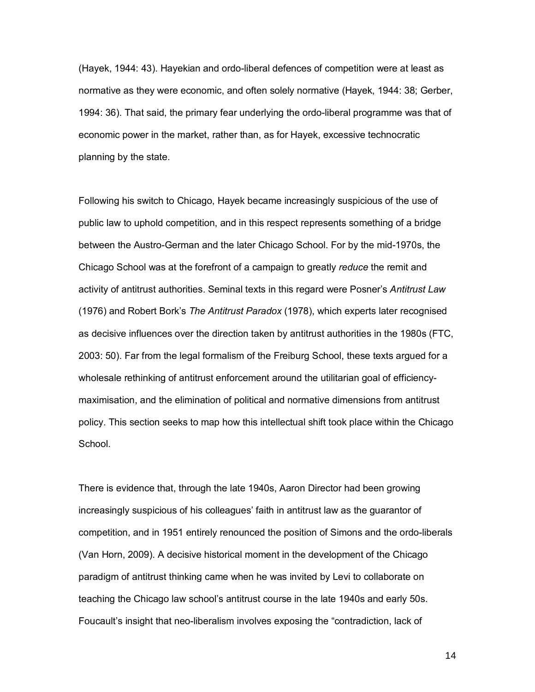(Hayek, 1944: 43). Hayekian and ordo-liberal defences of competition were at least as normative as they were economic, and often solely normative (Hayek, 1944: 38; Gerber, 1994: 36). That said, the primary fear underlying the ordo-liberal programme was that of economic power in the market, rather than, as for Hayek, excessive technocratic planning by the state.

Following his switch to Chicago, Hayek became increasingly suspicious of the use of public law to uphold competition, and in this respect represents something of a bridge between the Austro-German and the later Chicago School. For by the mid-1970s, the Chicago School was at the forefront of a campaign to greatly *reduce* the remit and activity of antitrust authorities. Seminal texts in this regard were Posner's Antitrust Law (1976) and Robert Borkís *The Antitrust Paradox* (1978), which experts later recognised as decisive influences over the direction taken by antitrust authorities in the 1980s (FTC, 2003: 50). Far from the legal formalism of the Freiburg School, these texts argued for a wholesale rethinking of antitrust enforcement around the utilitarian goal of efficiencymaximisation, and the elimination of political and normative dimensions from antitrust policy. This section seeks to map how this intellectual shift took place within the Chicago School.

There is evidence that, through the late 1940s, Aaron Director had been growing increasingly suspicious of his colleagues' faith in antitrust law as the guarantor of competition, and in 1951 entirely renounced the position of Simons and the ordo-liberals (Van Horn, 2009). A decisive historical moment in the development of the Chicago paradigm of antitrust thinking came when he was invited by Levi to collaborate on teaching the Chicago law schoolís antitrust course in the late 1940s and early 50s. Foucault's insight that neo-liberalism involves exposing the "contradiction, lack of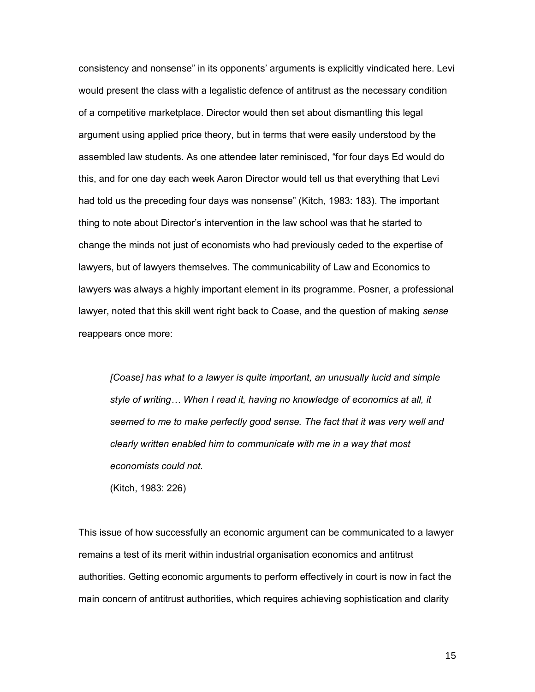consistency and nonsense" in its opponents' arguments is explicitly vindicated here. Levi would present the class with a legalistic defence of antitrust as the necessary condition of a competitive marketplace. Director would then set about dismantling this legal argument using applied price theory, but in terms that were easily understood by the assembled law students. As one attendee later reminisced, "for four days Ed would do this, and for one day each week Aaron Director would tell us that everything that Levi had told us the preceding four days was nonsense" (Kitch, 1983: 183). The important thing to note about Directorís intervention in the law school was that he started to change the minds not just of economists who had previously ceded to the expertise of lawyers, but of lawyers themselves. The communicability of Law and Economics to lawyers was always a highly important element in its programme. Posner, a professional lawyer, noted that this skill went right back to Coase, and the question of making *sense* reappears once more:

*[Coase] has what to a lawyer is quite important, an unusually lucid and simple*  style of writing... When I read it, having no knowledge of economics at all, it *seemed to me to make perfectly good sense. The fact that it was very well and clearly written enabled him to communicate with me in a way that most economists could not.* 

(Kitch, 1983: 226)

This issue of how successfully an economic argument can be communicated to a lawyer remains a test of its merit within industrial organisation economics and antitrust authorities. Getting economic arguments to perform effectively in court is now in fact the main concern of antitrust authorities, which requires achieving sophistication and clarity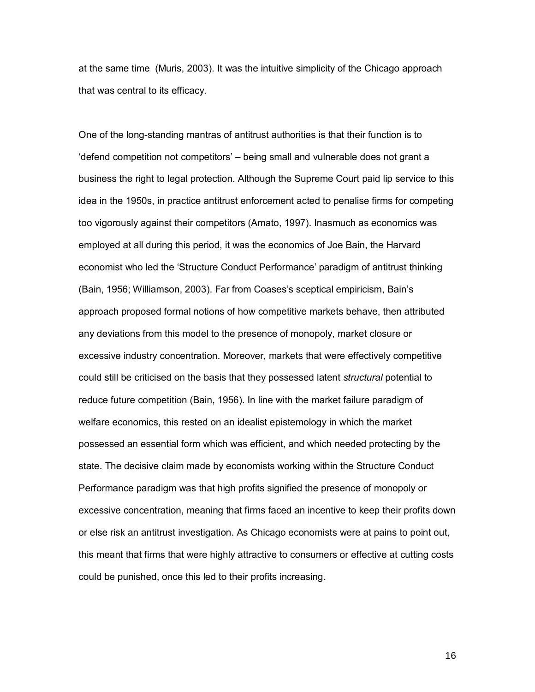at the same time (Muris, 2003). It was the intuitive simplicity of the Chicago approach that was central to its efficacy.

One of the long-standing mantras of antitrust authorities is that their function is to 'defend competition not competitors' – being small and vulnerable does not grant a business the right to legal protection. Although the Supreme Court paid lip service to this idea in the 1950s, in practice antitrust enforcement acted to penalise firms for competing too vigorously against their competitors (Amato, 1997). Inasmuch as economics was employed at all during this period, it was the economics of Joe Bain, the Harvard economist who led the 'Structure Conduct Performance' paradigm of antitrust thinking (Bain, 1956; Williamson, 2003). Far from Coasesís sceptical empiricism, Bainís approach proposed formal notions of how competitive markets behave, then attributed any deviations from this model to the presence of monopoly, market closure or excessive industry concentration. Moreover, markets that were effectively competitive could still be criticised on the basis that they possessed latent *structural* potential to reduce future competition (Bain, 1956). In line with the market failure paradigm of welfare economics, this rested on an idealist epistemology in which the market possessed an essential form which was efficient, and which needed protecting by the state. The decisive claim made by economists working within the Structure Conduct Performance paradigm was that high profits signified the presence of monopoly or excessive concentration, meaning that firms faced an incentive to keep their profits down or else risk an antitrust investigation. As Chicago economists were at pains to point out, this meant that firms that were highly attractive to consumers or effective at cutting costs could be punished, once this led to their profits increasing.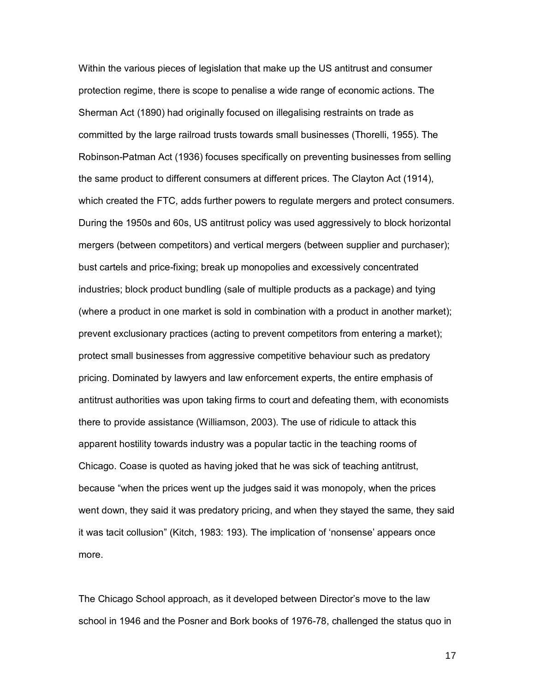Within the various pieces of legislation that make up the US antitrust and consumer protection regime, there is scope to penalise a wide range of economic actions. The Sherman Act (1890) had originally focused on illegalising restraints on trade as committed by the large railroad trusts towards small businesses (Thorelli, 1955). The Robinson-Patman Act (1936) focuses specifically on preventing businesses from selling the same product to different consumers at different prices. The Clayton Act (1914), which created the FTC, adds further powers to regulate mergers and protect consumers. During the 1950s and 60s, US antitrust policy was used aggressively to block horizontal mergers (between competitors) and vertical mergers (between supplier and purchaser); bust cartels and price-fixing; break up monopolies and excessively concentrated industries; block product bundling (sale of multiple products as a package) and tying (where a product in one market is sold in combination with a product in another market); prevent exclusionary practices (acting to prevent competitors from entering a market); protect small businesses from aggressive competitive behaviour such as predatory pricing. Dominated by lawyers and law enforcement experts, the entire emphasis of antitrust authorities was upon taking firms to court and defeating them, with economists there to provide assistance (Williamson, 2003). The use of ridicule to attack this apparent hostility towards industry was a popular tactic in the teaching rooms of Chicago. Coase is quoted as having joked that he was sick of teaching antitrust, because "when the prices went up the judges said it was monopoly, when the prices went down, they said it was predatory pricing, and when they stayed the same, they said it was tacit collusion" (Kitch, 1983: 193). The implication of 'nonsense' appears once more.

The Chicago School approach, as it developed between Director's move to the law school in 1946 and the Posner and Bork books of 1976-78, challenged the status quo in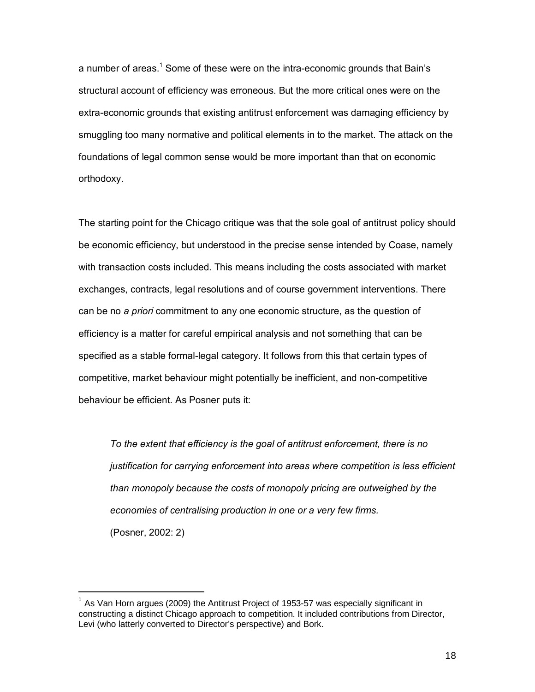a number of areas.<sup>1</sup> Some of these were on the intra-economic grounds that Bain's structural account of efficiency was erroneous. But the more critical ones were on the extra-economic grounds that existing antitrust enforcement was damaging efficiency by smuggling too many normative and political elements in to the market. The attack on the foundations of legal common sense would be more important than that on economic orthodoxy.

The starting point for the Chicago critique was that the sole goal of antitrust policy should be economic efficiency, but understood in the precise sense intended by Coase, namely with transaction costs included. This means including the costs associated with market exchanges, contracts, legal resolutions and of course government interventions. There can be no *a priori* commitment to any one economic structure, as the question of efficiency is a matter for careful empirical analysis and not something that can be specified as a stable formal-legal category. It follows from this that certain types of competitive, market behaviour might potentially be inefficient, and non-competitive behaviour be efficient. As Posner puts it:

*To the extent that efficiency is the goal of antitrust enforcement, there is no justification for carrying enforcement into areas where competition is less efficient than monopoly because the costs of monopoly pricing are outweighed by the economies of centralising production in one or a very few firms.*  (Posner, 2002: 2)

-

 $<sup>1</sup>$  As Van Horn argues (2009) the Antitrust Project of 1953-57 was especially significant in</sup> constructing a distinct Chicago approach to competition. It included contributions from Director, Levi (who latterly converted to Director's perspective) and Bork.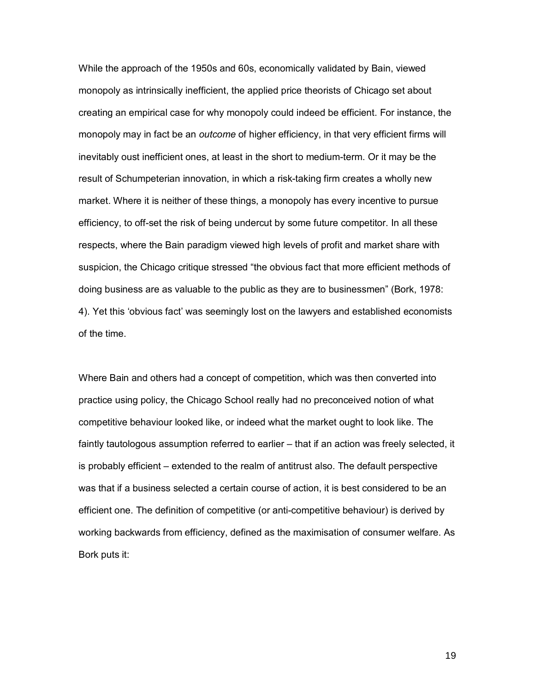While the approach of the 1950s and 60s, economically validated by Bain, viewed monopoly as intrinsically inefficient, the applied price theorists of Chicago set about creating an empirical case for why monopoly could indeed be efficient. For instance, the monopoly may in fact be an *outcome* of higher efficiency, in that very efficient firms will inevitably oust inefficient ones, at least in the short to medium-term. Or it may be the result of Schumpeterian innovation, in which a risk-taking firm creates a wholly new market. Where it is neither of these things, a monopoly has every incentive to pursue efficiency, to off-set the risk of being undercut by some future competitor. In all these respects, where the Bain paradigm viewed high levels of profit and market share with suspicion, the Chicago critique stressed "the obvious fact that more efficient methods of doing business are as valuable to the public as they are to businessmenî (Bork, 1978: 4). Yet this 'obvious fact' was seemingly lost on the lawyers and established economists of the time.

Where Bain and others had a concept of competition, which was then converted into practice using policy, the Chicago School really had no preconceived notion of what competitive behaviour looked like, or indeed what the market ought to look like. The faintly tautologous assumption referred to earlier – that if an action was freely selected, it is probably efficient – extended to the realm of antitrust also. The default perspective was that if a business selected a certain course of action, it is best considered to be an efficient one. The definition of competitive (or anti-competitive behaviour) is derived by working backwards from efficiency, defined as the maximisation of consumer welfare. As Bork puts it: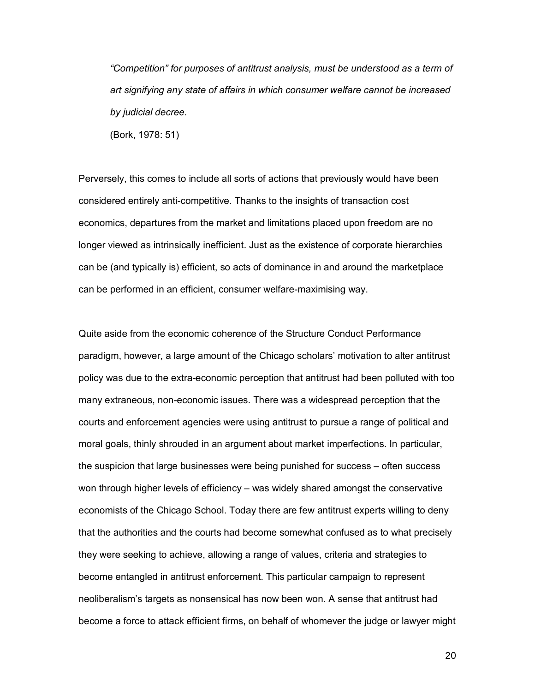*ìCompetitionî for purposes of antitrust analysis, must be understood as a term of art signifying any state of affairs in which consumer welfare cannot be increased by judicial decree.* 

(Bork, 1978: 51)

Perversely, this comes to include all sorts of actions that previously would have been considered entirely anti-competitive. Thanks to the insights of transaction cost economics, departures from the market and limitations placed upon freedom are no longer viewed as intrinsically inefficient. Just as the existence of corporate hierarchies can be (and typically is) efficient, so acts of dominance in and around the marketplace can be performed in an efficient, consumer welfare-maximising way.

Quite aside from the economic coherence of the Structure Conduct Performance paradigm, however, a large amount of the Chicago scholars' motivation to alter antitrust policy was due to the extra-economic perception that antitrust had been polluted with too many extraneous, non-economic issues. There was a widespread perception that the courts and enforcement agencies were using antitrust to pursue a range of political and moral goals, thinly shrouded in an argument about market imperfections. In particular, the suspicion that large businesses were being punished for success – often success won through higher levels of efficiency – was widely shared amongst the conservative economists of the Chicago School. Today there are few antitrust experts willing to deny that the authorities and the courts had become somewhat confused as to what precisely they were seeking to achieve, allowing a range of values, criteria and strategies to become entangled in antitrust enforcement. This particular campaign to represent neoliberalismís targets as nonsensical has now been won. A sense that antitrust had become a force to attack efficient firms, on behalf of whomever the judge or lawyer might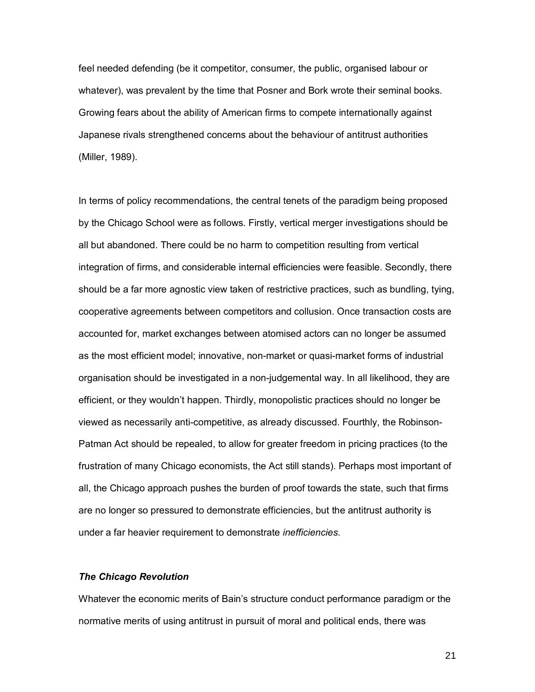feel needed defending (be it competitor, consumer, the public, organised labour or whatever), was prevalent by the time that Posner and Bork wrote their seminal books. Growing fears about the ability of American firms to compete internationally against Japanese rivals strengthened concerns about the behaviour of antitrust authorities (Miller, 1989).

In terms of policy recommendations, the central tenets of the paradigm being proposed by the Chicago School were as follows. Firstly, vertical merger investigations should be all but abandoned. There could be no harm to competition resulting from vertical integration of firms, and considerable internal efficiencies were feasible. Secondly, there should be a far more agnostic view taken of restrictive practices, such as bundling, tying, cooperative agreements between competitors and collusion. Once transaction costs are accounted for, market exchanges between atomised actors can no longer be assumed as the most efficient model; innovative, non-market or quasi-market forms of industrial organisation should be investigated in a non-judgemental way. In all likelihood, they are efficient, or they wouldn't happen. Thirdly, monopolistic practices should no longer be viewed as necessarily anti-competitive, as already discussed. Fourthly, the Robinson-Patman Act should be repealed, to allow for greater freedom in pricing practices (to the frustration of many Chicago economists, the Act still stands). Perhaps most important of all, the Chicago approach pushes the burden of proof towards the state, such that firms are no longer so pressured to demonstrate efficiencies, but the antitrust authority is under a far heavier requirement to demonstrate *inefficiencies*.

#### *The Chicago Revolution*

Whatever the economic merits of Bainís structure conduct performance paradigm or the normative merits of using antitrust in pursuit of moral and political ends, there was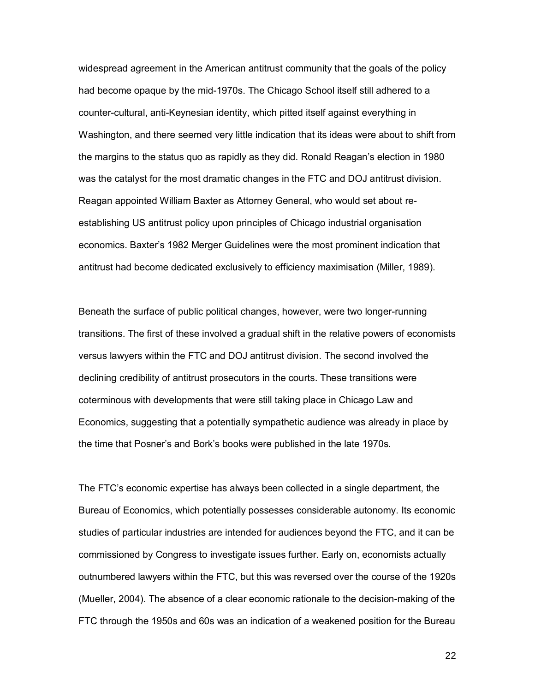widespread agreement in the American antitrust community that the goals of the policy had become opaque by the mid-1970s. The Chicago School itself still adhered to a counter-cultural, anti-Keynesian identity, which pitted itself against everything in Washington, and there seemed very little indication that its ideas were about to shift from the margins to the status quo as rapidly as they did. Ronald Reagan's election in 1980 was the catalyst for the most dramatic changes in the FTC and DOJ antitrust division. Reagan appointed William Baxter as Attorney General, who would set about reestablishing US antitrust policy upon principles of Chicago industrial organisation economics. Baxter's 1982 Merger Guidelines were the most prominent indication that antitrust had become dedicated exclusively to efficiency maximisation (Miller, 1989).

Beneath the surface of public political changes, however, were two longer-running transitions. The first of these involved a gradual shift in the relative powers of economists versus lawyers within the FTC and DOJ antitrust division. The second involved the declining credibility of antitrust prosecutors in the courts. These transitions were coterminous with developments that were still taking place in Chicago Law and Economics, suggesting that a potentially sympathetic audience was already in place by the time that Posner's and Bork's books were published in the late 1970s.

The FTCís economic expertise has always been collected in a single department, the Bureau of Economics, which potentially possesses considerable autonomy. Its economic studies of particular industries are intended for audiences beyond the FTC, and it can be commissioned by Congress to investigate issues further. Early on, economists actually outnumbered lawyers within the FTC, but this was reversed over the course of the 1920s (Mueller, 2004). The absence of a clear economic rationale to the decision-making of the FTC through the 1950s and 60s was an indication of a weakened position for the Bureau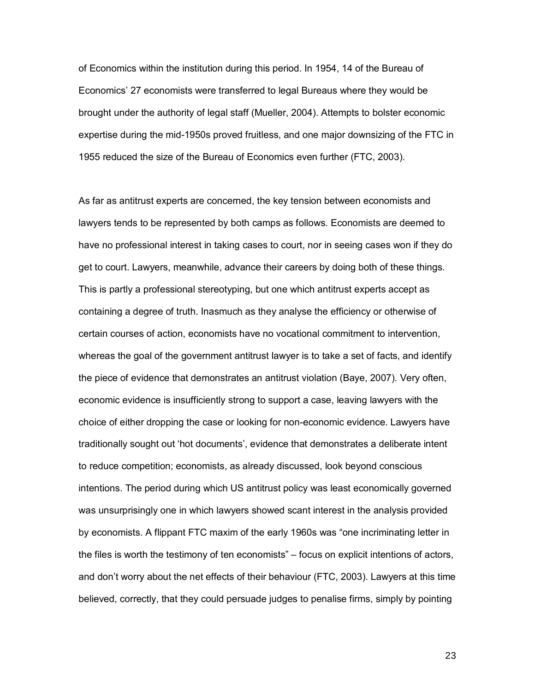of Economics within the institution during this period. In 1954, 14 of the Bureau of Economicsí 27 economists were transferred to legal Bureaus where they would be brought under the authority of legal staff (Mueller, 2004). Attempts to bolster economic expertise during the mid-1950s proved fruitless, and one major downsizing of the FTC in 1955 reduced the size of the Bureau of Economics even further (FTC, 2003).

As far as antitrust experts are concerned, the key tension between economists and lawyers tends to be represented by both camps as follows. Economists are deemed to have no professional interest in taking cases to court, nor in seeing cases won if they do get to court. Lawyers, meanwhile, advance their careers by doing both of these things. This is partly a professional stereotyping, but one which antitrust experts accept as containing a degree of truth. Inasmuch as they analyse the efficiency or otherwise of certain courses of action, economists have no vocational commitment to intervention, whereas the goal of the government antitrust lawyer is to take a set of facts, and identify the piece of evidence that demonstrates an antitrust violation (Baye, 2007). Very often, economic evidence is insufficiently strong to support a case, leaving lawyers with the choice of either dropping the case or looking for non-economic evidence. Lawyers have traditionally sought out 'hot documents', evidence that demonstrates a deliberate intent to reduce competition; economists, as already discussed, look beyond conscious intentions. The period during which US antitrust policy was least economically governed was unsurprisingly one in which lawyers showed scant interest in the analysis provided by economists. A flippant FTC maxim of the early 1960s was "one incriminating letter in the files is worth the testimony of ten economists"  $-$  focus on explicit intentions of actors, and don't worry about the net effects of their behaviour (FTC, 2003). Lawyers at this time believed, correctly, that they could persuade judges to penalise firms, simply by pointing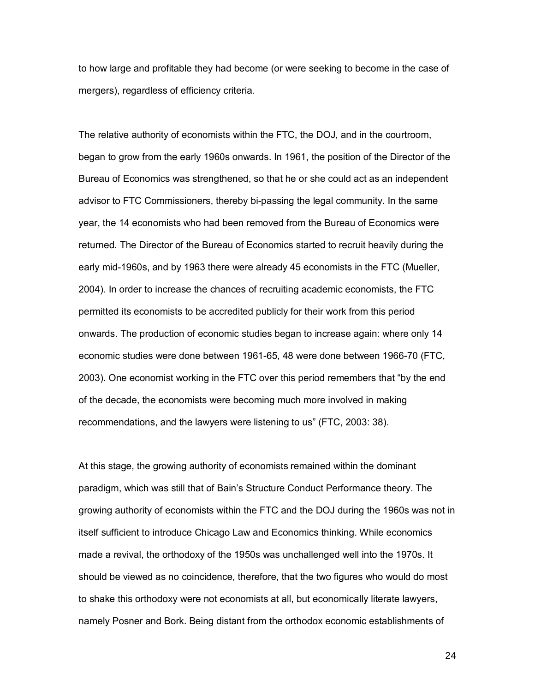to how large and profitable they had become (or were seeking to become in the case of mergers), regardless of efficiency criteria.

The relative authority of economists within the FTC, the DOJ, and in the courtroom, began to grow from the early 1960s onwards. In 1961, the position of the Director of the Bureau of Economics was strengthened, so that he or she could act as an independent advisor to FTC Commissioners, thereby bi-passing the legal community. In the same year, the 14 economists who had been removed from the Bureau of Economics were returned. The Director of the Bureau of Economics started to recruit heavily during the early mid-1960s, and by 1963 there were already 45 economists in the FTC (Mueller, 2004). In order to increase the chances of recruiting academic economists, the FTC permitted its economists to be accredited publicly for their work from this period onwards. The production of economic studies began to increase again: where only 14 economic studies were done between 1961-65, 48 were done between 1966-70 (FTC, 2003). One economist working in the FTC over this period remembers that "by the end of the decade, the economists were becoming much more involved in making recommendations, and the lawyers were listening to usî (FTC, 2003: 38).

At this stage, the growing authority of economists remained within the dominant paradigm, which was still that of Bain's Structure Conduct Performance theory. The growing authority of economists within the FTC and the DOJ during the 1960s was not in itself sufficient to introduce Chicago Law and Economics thinking. While economics made a revival, the orthodoxy of the 1950s was unchallenged well into the 1970s. It should be viewed as no coincidence, therefore, that the two figures who would do most to shake this orthodoxy were not economists at all, but economically literate lawyers, namely Posner and Bork. Being distant from the orthodox economic establishments of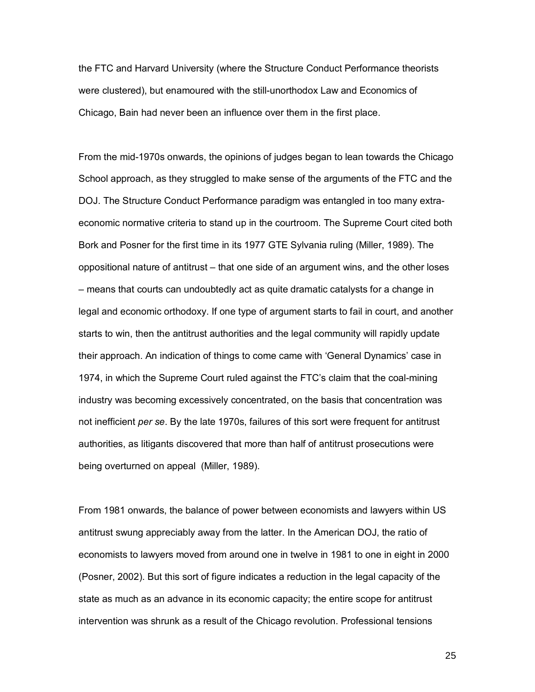the FTC and Harvard University (where the Structure Conduct Performance theorists were clustered), but enamoured with the still-unorthodox Law and Economics of Chicago, Bain had never been an influence over them in the first place.

From the mid-1970s onwards, the opinions of judges began to lean towards the Chicago School approach, as they struggled to make sense of the arguments of the FTC and the DOJ. The Structure Conduct Performance paradigm was entangled in too many extraeconomic normative criteria to stand up in the courtroom. The Supreme Court cited both Bork and Posner for the first time in its 1977 GTE Sylvania ruling (Miller, 1989). The oppositional nature of antitrust – that one side of an argument wins, and the other loses – means that courts can undoubtedly act as quite dramatic catalysts for a change in legal and economic orthodoxy. If one type of argument starts to fail in court, and another starts to win, then the antitrust authorities and the legal community will rapidly update their approach. An indication of things to come came with 'General Dynamics' case in 1974, in which the Supreme Court ruled against the FTC's claim that the coal-mining industry was becoming excessively concentrated, on the basis that concentration was not inefficient *per se*. By the late 1970s, failures of this sort were frequent for antitrust authorities, as litigants discovered that more than half of antitrust prosecutions were being overturned on appeal (Miller, 1989).

From 1981 onwards, the balance of power between economists and lawyers within US antitrust swung appreciably away from the latter. In the American DOJ, the ratio of economists to lawyers moved from around one in twelve in 1981 to one in eight in 2000 (Posner, 2002). But this sort of figure indicates a reduction in the legal capacity of the state as much as an advance in its economic capacity; the entire scope for antitrust intervention was shrunk as a result of the Chicago revolution. Professional tensions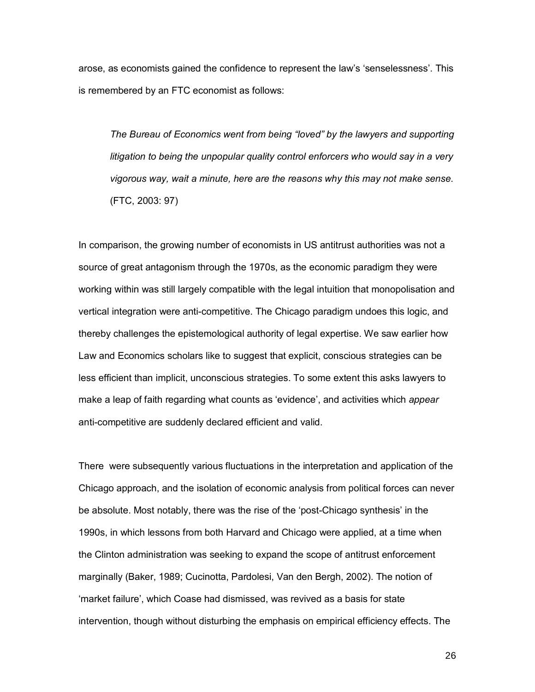arose, as economists gained the confidence to represent the law's 'senselessness'. This is remembered by an FTC economist as follows:

*The Bureau of Economics went from being "loved" by the lawyers and supporting litigation to being the unpopular quality control enforcers who would say in a very vigorous way, wait a minute, here are the reasons why this may not make sense.*  (FTC, 2003: 97)

In comparison, the growing number of economists in US antitrust authorities was not a source of great antagonism through the 1970s, as the economic paradigm they were working within was still largely compatible with the legal intuition that monopolisation and vertical integration were anti-competitive. The Chicago paradigm undoes this logic, and thereby challenges the epistemological authority of legal expertise. We saw earlier how Law and Economics scholars like to suggest that explicit, conscious strategies can be less efficient than implicit, unconscious strategies. To some extent this asks lawyers to make a leap of faith regarding what counts as 'evidence', and activities which *appear* anti-competitive are suddenly declared efficient and valid.

There were subsequently various fluctuations in the interpretation and application of the Chicago approach, and the isolation of economic analysis from political forces can never be absolute. Most notably, there was the rise of the 'post-Chicago synthesis' in the 1990s, in which lessons from both Harvard and Chicago were applied, at a time when the Clinton administration was seeking to expand the scope of antitrust enforcement marginally (Baker, 1989; Cucinotta, Pardolesi, Van den Bergh, 2002). The notion of ëmarket failureí, which Coase had dismissed, was revived as a basis for state intervention, though without disturbing the emphasis on empirical efficiency effects. The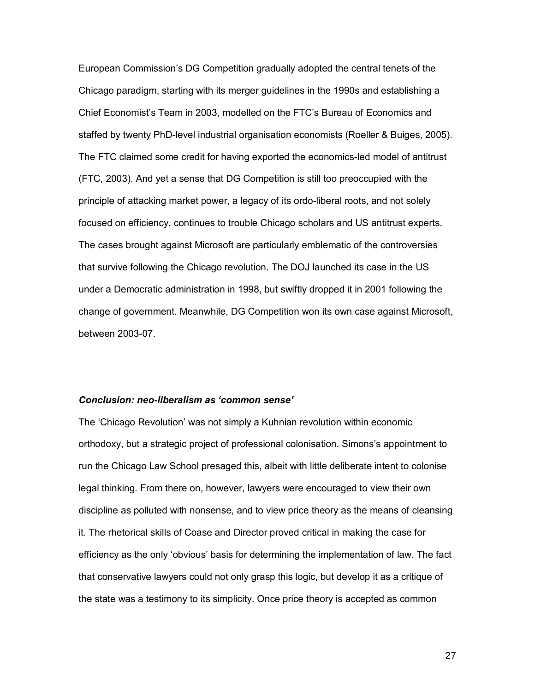European Commissionís DG Competition gradually adopted the central tenets of the Chicago paradigm, starting with its merger guidelines in the 1990s and establishing a Chief Economist's Team in 2003, modelled on the FTC's Bureau of Economics and staffed by twenty PhD-level industrial organisation economists (Roeller & Buiges, 2005). The FTC claimed some credit for having exported the economics-led model of antitrust (FTC, 2003). And yet a sense that DG Competition is still too preoccupied with the principle of attacking market power, a legacy of its ordo-liberal roots, and not solely focused on efficiency, continues to trouble Chicago scholars and US antitrust experts. The cases brought against Microsoft are particularly emblematic of the controversies that survive following the Chicago revolution. The DOJ launched its case in the US under a Democratic administration in 1998, but swiftly dropped it in 2001 following the change of government. Meanwhile, DG Competition won its own case against Microsoft, between 2003-07.

#### *Conclusion: neo-liberalism as ëcommon senseí*

The ëChicago Revolutioní was not simply a Kuhnian revolution within economic orthodoxy, but a strategic project of professional colonisation. Simonsís appointment to run the Chicago Law School presaged this, albeit with little deliberate intent to colonise legal thinking. From there on, however, lawyers were encouraged to view their own discipline as polluted with nonsense, and to view price theory as the means of cleansing it. The rhetorical skills of Coase and Director proved critical in making the case for efficiency as the only 'obvious' basis for determining the implementation of law. The fact that conservative lawyers could not only grasp this logic, but develop it as a critique of the state was a testimony to its simplicity. Once price theory is accepted as common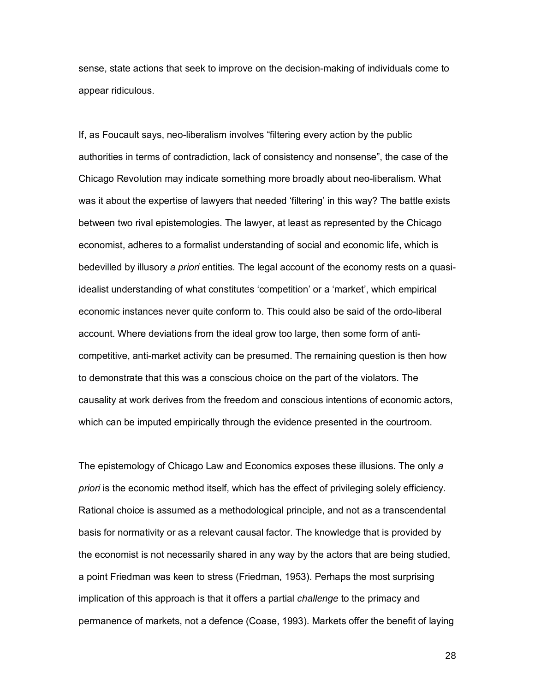sense, state actions that seek to improve on the decision-making of individuals come to appear ridiculous.

If, as Foucault says, neo-liberalism involves "filtering every action by the public authorities in terms of contradiction, lack of consistency and nonsense", the case of the Chicago Revolution may indicate something more broadly about neo-liberalism. What was it about the expertise of lawyers that needed 'filtering' in this way? The battle exists between two rival epistemologies. The lawyer, at least as represented by the Chicago economist, adheres to a formalist understanding of social and economic life, which is bedevilled by illusory *a priori* entities. The legal account of the economy rests on a quasiidealist understanding of what constitutes 'competition' or a 'market', which empirical economic instances never quite conform to. This could also be said of the ordo-liberal account. Where deviations from the ideal grow too large, then some form of anticompetitive, anti-market activity can be presumed. The remaining question is then how to demonstrate that this was a conscious choice on the part of the violators. The causality at work derives from the freedom and conscious intentions of economic actors, which can be imputed empirically through the evidence presented in the courtroom.

The epistemology of Chicago Law and Economics exposes these illusions. The only *a priori* is the economic method itself, which has the effect of privileging solely efficiency. Rational choice is assumed as a methodological principle, and not as a transcendental basis for normativity or as a relevant causal factor. The knowledge that is provided by the economist is not necessarily shared in any way by the actors that are being studied, a point Friedman was keen to stress (Friedman, 1953). Perhaps the most surprising implication of this approach is that it offers a partial *challenge* to the primacy and permanence of markets, not a defence (Coase, 1993). Markets offer the benefit of laying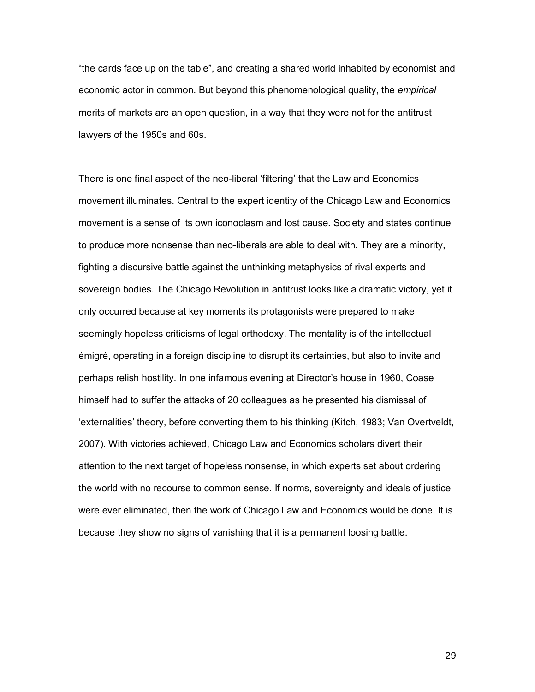"the cards face up on the table", and creating a shared world inhabited by economist and economic actor in common. But beyond this phenomenological quality, the *empirical* merits of markets are an open question, in a way that they were not for the antitrust lawyers of the 1950s and 60s.

There is one final aspect of the neo-liberal 'filtering' that the Law and Economics movement illuminates. Central to the expert identity of the Chicago Law and Economics movement is a sense of its own iconoclasm and lost cause. Society and states continue to produce more nonsense than neo-liberals are able to deal with. They are a minority, fighting a discursive battle against the unthinking metaphysics of rival experts and sovereign bodies. The Chicago Revolution in antitrust looks like a dramatic victory, yet it only occurred because at key moments its protagonists were prepared to make seemingly hopeless criticisms of legal orthodoxy. The mentality is of the intellectual ÈmigrÈ, operating in a foreign discipline to disrupt its certainties, but also to invite and perhaps relish hostility. In one infamous evening at Directorís house in 1960, Coase himself had to suffer the attacks of 20 colleagues as he presented his dismissal of ëexternalitiesí theory, before converting them to his thinking (Kitch, 1983; Van Overtveldt, 2007). With victories achieved, Chicago Law and Economics scholars divert their attention to the next target of hopeless nonsense, in which experts set about ordering the world with no recourse to common sense. If norms, sovereignty and ideals of justice were ever eliminated, then the work of Chicago Law and Economics would be done. It is because they show no signs of vanishing that it is a permanent loosing battle.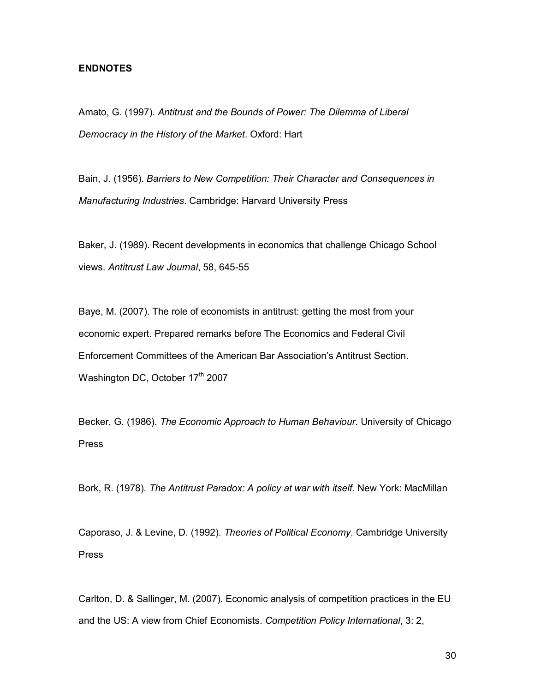### **ENDNOTES**

Amato, G. (1997). *Antitrust and the Bounds of Power: The Dilemma of Liberal Democracy in the History of the Market*. Oxford: Hart

Bain, J. (1956). *Barriers to New Competition: Their Character and Consequences in Manufacturing Industries*. Cambridge: Harvard University Press

Baker, J. (1989). Recent developments in economics that challenge Chicago School views. *Antitrust Law Journal*, 58, 645-55

Baye, M. (2007). The role of economists in antitrust: getting the most from your economic expert. Prepared remarks before The Economics and Federal Civil Enforcement Committees of the American Bar Associationís Antitrust Section. Washington DC, October 17<sup>th</sup> 2007

Becker, G. (1986). *The Economic Approach to Human Behaviour*. University of Chicago Press

Bork, R. (1978). *The Antitrust Paradox: A policy at war with itself*. New York: MacMillan

Caporaso, J. & Levine, D. (1992). *Theories of Political Economy*. Cambridge University Press

Carlton, D. & Sallinger, M. (2007). Economic analysis of competition practices in the EU and the US: A view from Chief Economists. *Competition Policy International*, 3: 2,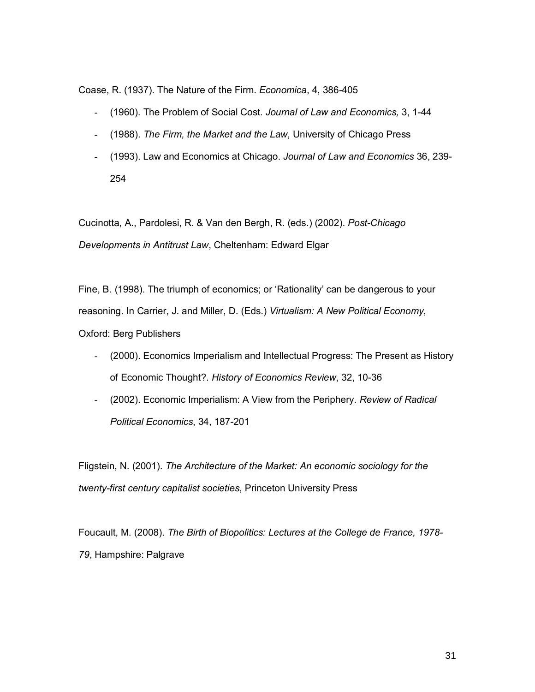Coase, R. (1937). The Nature of the Firm. *Economica*, 4, 386-405

- (1960). The Problem of Social Cost. *Journal of Law and Economics,* 3, 1-44
- (1988). *The Firm, the Market and the Law*, University of Chicago Press
- (1993). Law and Economics at Chicago. *Journal of Law and Economics* 36, 239- 254

Cucinotta, A., Pardolesi, R. & Van den Bergh, R. (eds.) (2002). *Post-Chicago Developments in Antitrust Law*, Cheltenham: Edward Elgar

Fine, B. (1998). The triumph of economics; or 'Rationality' can be dangerous to your reasoning. In Carrier, J. and Miller, D. (Eds.) *Virtualism: A New Political Economy*, Oxford: Berg Publishers

- (2000). Economics Imperialism and Intellectual Progress: The Present as History of Economic Thought?. *History of Economics Review*, 32, 10-36
- (2002). Economic Imperialism: A View from the Periphery. *Review of Radical Political Economics*, 34, 187-201

Fligstein, N. (2001). *The Architecture of the Market: An economic sociology for the twenty-first century capitalist societies*, Princeton University Press

Foucault, M. (2008). *The Birth of Biopolitics: Lectures at the College de France, 1978- 79*, Hampshire: Palgrave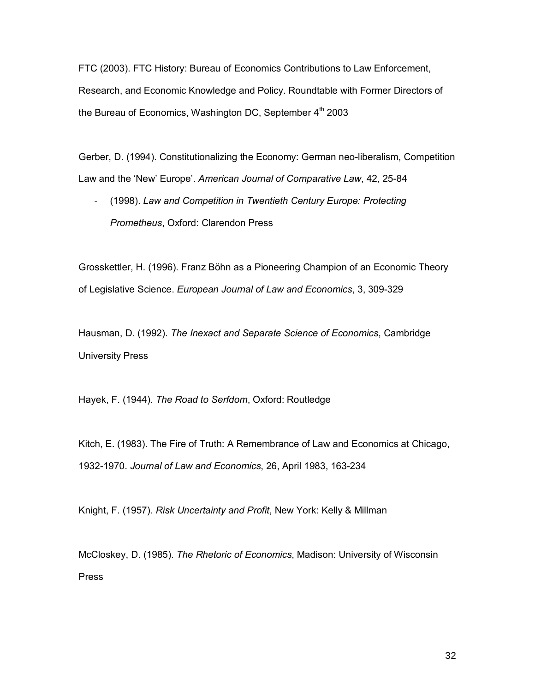FTC (2003). FTC History: Bureau of Economics Contributions to Law Enforcement, Research, and Economic Knowledge and Policy. Roundtable with Former Directors of the Bureau of Economics, Washington DC, September  $4<sup>th</sup>$  2003

Gerber, D. (1994). Constitutionalizing the Economy: German neo-liberalism, Competition Law and the 'New' Europe'. American Journal of Comparative Law, 42, 25-84

- (1998). *Law and Competition in Twentieth Century Europe: Protecting Prometheus*, Oxford: Clarendon Press

Grosskettler, H. (1996). Franz Böhn as a Pioneering Champion of an Economic Theory of Legislative Science. *European Journal of Law and Economics*, 3, 309-329

Hausman, D. (1992). *The Inexact and Separate Science of Economics*, Cambridge University Press

Hayek, F. (1944). *The Road to Serfdom*, Oxford: Routledge

Kitch, E. (1983). The Fire of Truth: A Remembrance of Law and Economics at Chicago, 1932-1970. *Journal of Law and Economics*, 26, April 1983, 163-234

Knight, F. (1957). *Risk Uncertainty and Profit*, New York: Kelly & Millman

McCloskey, D. (1985). *The Rhetoric of Economics*, Madison: University of Wisconsin Press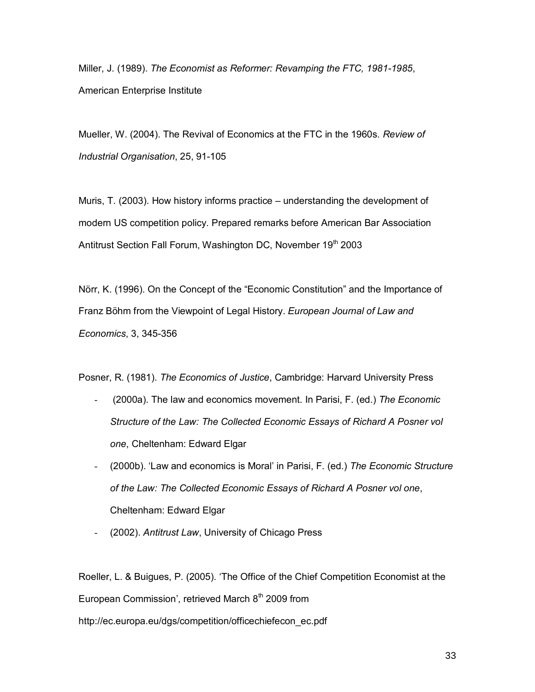Miller, J. (1989). *The Economist as Reformer: Revamping the FTC, 1981-1985*, American Enterprise Institute

Mueller, W. (2004). The Revival of Economics at the FTC in the 1960s. *Review of Industrial Organisation*, 25, 91-105

Muris, T. (2003). How history informs practice  $-$  understanding the development of modern US competition policy. Prepared remarks before American Bar Association Antitrust Section Fall Forum, Washington DC, November 19<sup>th</sup> 2003

Nörr, K. (1996). On the Concept of the "Economic Constitution" and the Importance of Franz Böhm from the Viewpoint of Legal History. *European Journal of Law and Economics*, 3, 345-356

Posner, R. (1981). *The Economics of Justice*, Cambridge: Harvard University Press

- (2000a). The law and economics movement. In Parisi, F. (ed.) *The Economic Structure of the Law: The Collected Economic Essays of Richard A Posner vol one*, Cheltenham: Edward Elgar
- (2000b). ëLaw and economics is Moralí in Parisi, F. (ed.) *The Economic Structure of the Law: The Collected Economic Essays of Richard A Posner vol one*, Cheltenham: Edward Elgar
- (2002). *Antitrust Law*, University of Chicago Press

Roeller, L. & Buigues, P. (2005). 'The Office of the Chief Competition Economist at the European Commission', retrieved March  $8<sup>th</sup>$  2009 from http://ec.europa.eu/dgs/competition/officechiefecon\_ec.pdf